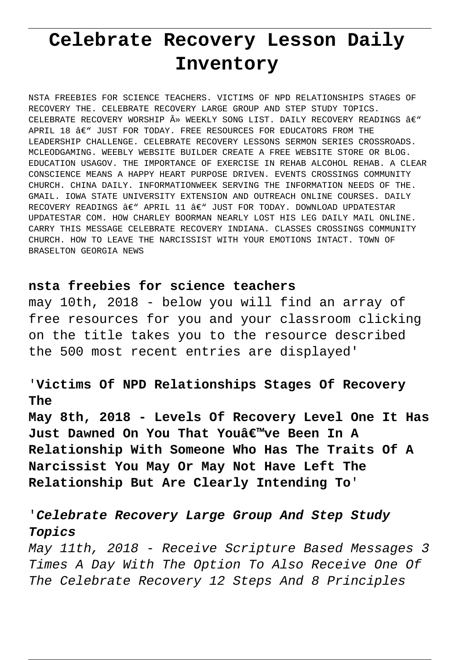# **Celebrate Recovery Lesson Daily Inventory**

NSTA FREEBIES FOR SCIENCE TEACHERS. VICTIMS OF NPD RELATIONSHIPS STAGES OF RECOVERY THE. CELEBRATE RECOVERY LARGE GROUP AND STEP STUDY TOPICS. CELEBRATE RECOVERY WORSHIP » WEEKLY SONG LIST. DAILY RECOVERY READINGS â€" APRIL 18  $A \in \mathbb{C}$  just for today. Free resources for educators from the LEADERSHIP CHALLENGE. CELEBRATE RECOVERY LESSONS SERMON SERIES CROSSROADS. MCLEODGAMING. WEEBLY WEBSITE BUILDER CREATE A FREE WEBSITE STORE OR BLOG. EDUCATION USAGOV. THE IMPORTANCE OF EXERCISE IN REHAB ALCOHOL REHAB. A CLEAR CONSCIENCE MEANS A HAPPY HEART PURPOSE DRIVEN. EVENTS CROSSINGS COMMUNITY CHURCH. CHINA DAILY. INFORMATIONWEEK SERVING THE INFORMATION NEEDS OF THE. GMAIL. IOWA STATE UNIVERSITY EXTENSION AND OUTREACH ONLINE COURSES. DAILY RECOVERY READINGS  $A \in \mathbb{R}$  APRIL 11  $A \in \mathbb{R}$  just for today. Download updatestar UPDATESTAR COM. HOW CHARLEY BOORMAN NEARLY LOST HIS LEG DAILY MAIL ONLINE. CARRY THIS MESSAGE CELEBRATE RECOVERY INDIANA. CLASSES CROSSINGS COMMUNITY CHURCH. HOW TO LEAVE THE NARCISSIST WITH YOUR EMOTIONS INTACT. TOWN OF BRASELTON GEORGIA NEWS

### **nsta freebies for science teachers**

may 10th, 2018 - below you will find an array of free resources for you and your classroom clicking on the title takes you to the resource described the 500 most recent entries are displayed'

# '**Victims Of NPD Relationships Stages Of Recovery The**

**May 8th, 2018 - Levels Of Recovery Level One It Has Just Dawned On You That You've Been In A Relationship With Someone Who Has The Traits Of A Narcissist You May Or May Not Have Left The Relationship But Are Clearly Intending To**'

# '**Celebrate Recovery Large Group And Step Study Topics**

May 11th, 2018 - Receive Scripture Based Messages 3 Times A Day With The Option To Also Receive One Of The Celebrate Recovery 12 Steps And 8 Principles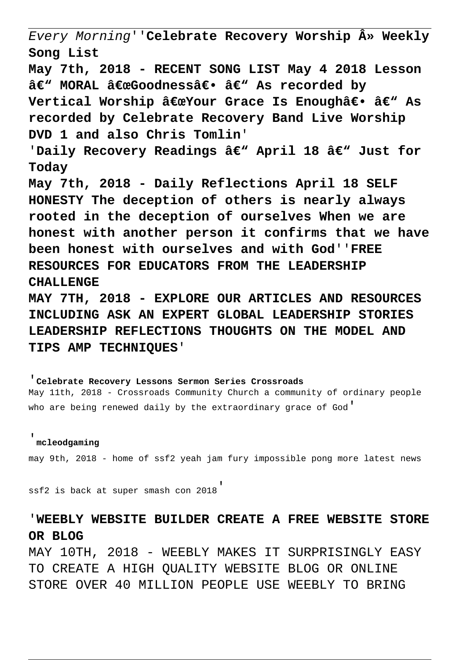Every Morning''**Celebrate Recovery Worship » Weekly Song List**

**May 7th, 2018 - RECENT SONG LIST May 4 2018 Lesson** â€" MORAL "Goodness― â€" As recorded by Vertical Worship "Your Grace Is Enough― â€<sup>w</sup> As **recorded by Celebrate Recovery Band Live Worship DVD 1 and also Chris Tomlin**'

'Daily Recovery Readings â€" April 18 â€" Just for **Today**

**May 7th, 2018 - Daily Reflections April 18 SELF HONESTY The deception of others is nearly always rooted in the deception of ourselves When we are honest with another person it confirms that we have been honest with ourselves and with God**''**FREE RESOURCES FOR EDUCATORS FROM THE LEADERSHIP CHALLENGE**

**MAY 7TH, 2018 - EXPLORE OUR ARTICLES AND RESOURCES INCLUDING ASK AN EXPERT GLOBAL LEADERSHIP STORIES LEADERSHIP REFLECTIONS THOUGHTS ON THE MODEL AND TIPS AMP TECHNIQUES**'

'**Celebrate Recovery Lessons Sermon Series Crossroads** May 11th, 2018 - Crossroads Community Church a community of ordinary people who are being renewed daily by the extraordinary grace of God'

#### '**mcleodgaming**

may 9th, 2018 - home of ssf2 yeah jam fury impossible pong more latest news

ssf2 is back at super smash con 2018'

## '**WEEBLY WEBSITE BUILDER CREATE A FREE WEBSITE STORE OR BLOG**

MAY 10TH, 2018 - WEEBLY MAKES IT SURPRISINGLY EASY TO CREATE A HIGH QUALITY WEBSITE BLOG OR ONLINE STORE OVER 40 MILLION PEOPLE USE WEEBLY TO BRING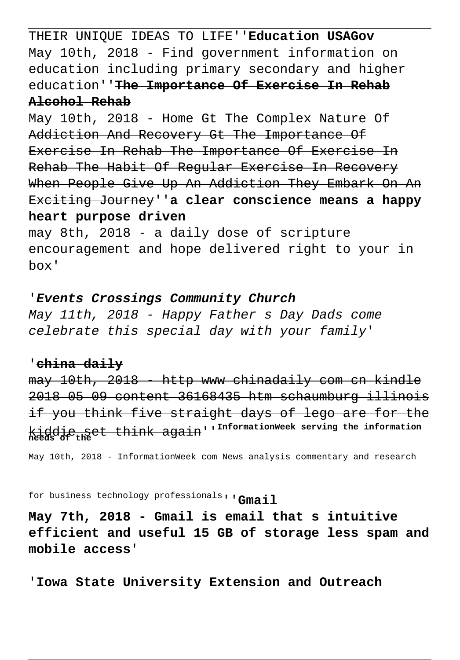THEIR UNIQUE IDEAS TO LIFE''**Education USAGov** May 10th, 2018 - Find government information on education including primary secondary and higher education''**The Importance Of Exercise In Rehab Alcohol Rehab**

May 10th, 2018 - Home Gt The Complex Nature Of Addiction And Recovery Gt The Importance Of Exercise In Rehab The Importance Of Exercise In Rehab The Habit Of Regular Exercise In Recovery When People Give Up An Addiction They Embark On An Exciting Journey''**a clear conscience means a happy heart purpose driven**

may 8th, 2018 - a daily dose of scripture encouragement and hope delivered right to your in box'

### '**Events Crossings Community Church**

May 11th, 2018 - Happy Father s Day Dads come celebrate this special day with your family'

### '**china daily**

may 10th, 2018 http www chinadaily com cn kindle 2018 05 09 content 36168435 htm schaumburg illinois if you think five straight days of lego are for the kiddie set think again''**InformationWeek serving the information needs of the**

May 10th, 2018 - InformationWeek com News analysis commentary and research

for business technology professionals''**Gmail**

**May 7th, 2018 - Gmail is email that s intuitive efficient and useful 15 GB of storage less spam and mobile access**'

'**Iowa State University Extension and Outreach**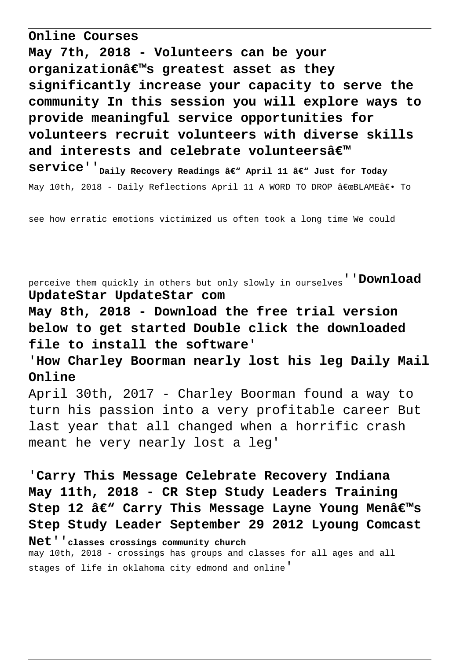**Online Courses**

**May 7th, 2018 - Volunteers can be your organization's greatest asset as they significantly increase your capacity to serve the community In this session you will explore ways to provide meaningful service opportunities for volunteers recruit volunteers with diverse skills** and interests and celebrate volunteersâ€<sup>™</sup> **Service**<sup>''</sup><sub>Daily</sub> Recovery Readings â€" April 11 â€" Just for Today May 10th, 2018 - Daily Reflections April 11 A WORD TO DROP "BLAMEâ€. To

see how erratic emotions victimized us often took a long time We could

perceive them quickly in others but only slowly in ourselves''**Download UpdateStar UpdateStar com**

**May 8th, 2018 - Download the free trial version below to get started Double click the downloaded file to install the software**'

'**How Charley Boorman nearly lost his leg Daily Mail Online**

April 30th, 2017 - Charley Boorman found a way to turn his passion into a very profitable career But last year that all changed when a horrific crash meant he very nearly lost a leg'

'**Carry This Message Celebrate Recovery Indiana May 11th, 2018 - CR Step Study Leaders Training** Step 12 â€<sup>w</sup> Carry This Message Layne Young Menâ€<sup>m</sup>s **Step Study Leader September 29 2012 Lyoung Comcast**

**Net**''**classes crossings community church**

may 10th, 2018 - crossings has groups and classes for all ages and all stages of life in oklahoma city edmond and online'